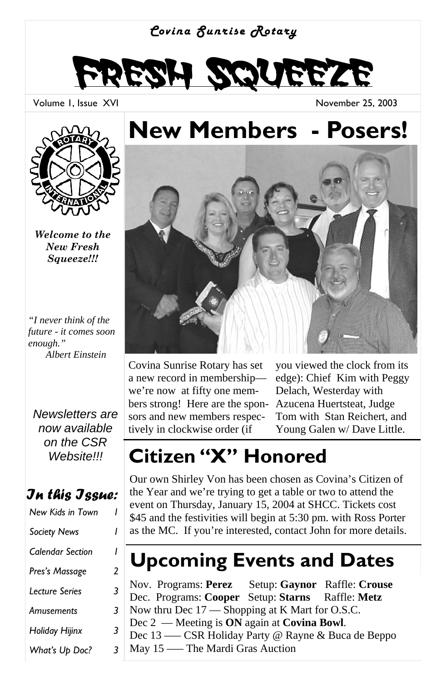#### *Covina Sunrise Rotary*



Volume 1, Issue XVI

November 25, 2003



*Welcome to the New Fresh Squeeze!!!* 

*"I never think of the future - it comes soon enough." Albert Einstein* 

*Newsletters are now available on the CSR Website!!!* 

### *In this Issue:*

| New Kids in Town        |   |
|-------------------------|---|
| <b>Society News</b>     | ı |
| <b>Calendar Section</b> | ı |
| Pres's Massage          | 2 |
| Lecture Series          | 3 |
| Amusements              | 3 |
| Holiday Hijinx          | 3 |
| What's Up Doc?          | 3 |

## **New Members - Posers!**



Covina Sunrise Rotary has set a new record in membership we're now at fifty one members strong! Here are the sponsors and new members respectively in clockwise order (if

you viewed the clock from its edge): Chief Kim with Peggy Delach, Westerday with Azucena Huertsteat, Judge Tom with Stan Reichert, and Young Galen w/ Dave Little.

## **Citizen "X" Honored**

Our own Shirley Von has been chosen as Covina's Citizen of the Year and we're trying to get a table or two to attend the event on Thursday, January 15, 2004 at SHCC. Tickets cost \$45 and the festivities will begin at 5:30 pm. with Ross Porter as the MC. If you're interested, contact John for more details.

## **Upcoming Events and Dates**

Nov. Programs: **Perez** Setup: **Gaynor** Raffle: **Crouse** Dec. Programs: **Cooper** Setup: **Starns** Raffle: **Metz** Now thru Dec 17 — Shopping at K Mart for O.S.C. Dec 2 — Meeting is **ON** again at **Covina Bowl**. Dec 13 —– CSR Holiday Party @ Rayne & Buca de Beppo May 15 —– The Mardi Gras Auction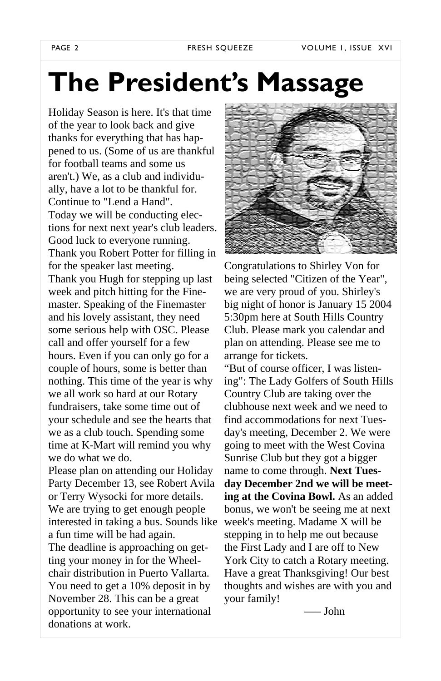# **The President's Massage**

Holiday Season is here. It's that time of the year to look back and give thanks for everything that has happened to us. (Some of us are thankful for football teams and some us aren't.) We, as a club and individually, have a lot to be thankful for. Continue to "Lend a Hand". Today we will be conducting elections for next next year's club leaders. Good luck to everyone running. Thank you Robert Potter for filling in for the speaker last meeting. Thank you Hugh for stepping up last week and pitch hitting for the Finemaster. Speaking of the Finemaster and his lovely assistant, they need some serious help with OSC. Please call and offer yourself for a few hours. Even if you can only go for a couple of hours, some is better than nothing. This time of the year is why we all work so hard at our Rotary fundraisers, take some time out of your schedule and see the hearts that we as a club touch. Spending some time at K-Mart will remind you why we do what we do.

Please plan on attending our Holiday Party December 13, see Robert Avila or Terry Wysocki for more details. We are trying to get enough people interested in taking a bus. Sounds like a fun time will be had again. The deadline is approaching on getting your money in for the Wheelchair distribution in Puerto Vallarta. You need to get a 10% deposit in by November 28. This can be a great opportunity to see your international donations at work.



Congratulations to Shirley Von for being selected "Citizen of the Year", we are very proud of you. Shirley's big night of honor is January 15 2004 5:30pm here at South Hills Country Club. Please mark you calendar and plan on attending. Please see me to arrange for tickets. "But of course officer, I was listen-

ing": The Lady Golfers of South Hills Country Club are taking over the clubhouse next week and we need to find accommodations for next Tuesday's meeting, December 2. We were going to meet with the West Covina Sunrise Club but they got a bigger name to come through. **Next Tuesday December 2nd we will be meeting at the Covina Bowl.** As an added bonus, we won't be seeing me at next week's meeting. Madame X will be stepping in to help me out because the First Lady and I are off to New York City to catch a Rotary meeting. Have a great Thanksgiving! Our best thoughts and wishes are with you and your family!

—– John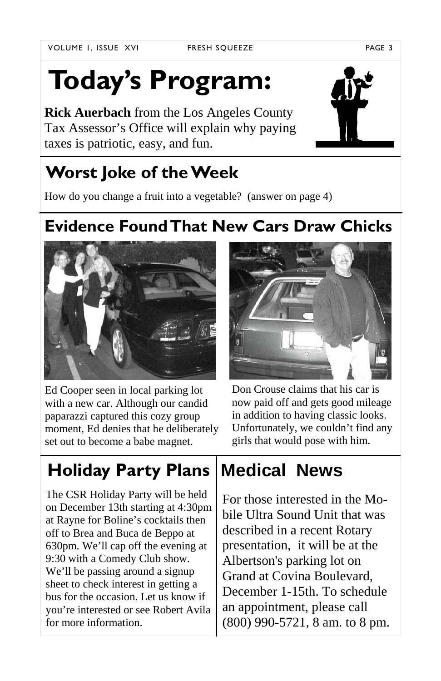# **Today's Program:**

**Rick Auerbach** from the Los Angeles County Tax Assessor's Office will explain why paying taxes is patriotic, easy, and fun.

## **Worst Joke of the Week**

How do you change a fruit into a vegetable? (answer on page 4)

## **Evidence Found That New Cars Draw Chicks**





Don Crouse claims that his car is now paid off and gets good mileage in addition to having classic looks. Unfortunately, we couldn't find any girls that would pose with him.

## **Holiday Party Plans**

The CSR Holiday Party will be held on December 13th starting at 4:30pm at Rayne for Boline's cocktails then off to Brea and Buca de Beppo at 630pm. We'll cap off the evening at 9:30 with a Comedy Club show. We'll be passing around a signup sheet to check interest in getting a bus for the occasion. Let us know if you're interested or see Robert Avila for more information.

## **Medical News**

For those interested in the Mobile Ultra Sound Unit that was described in a recent Rotary presentation, it will be at the Albertson's parking lot on Grand at Covina Boulevard, December 1-15th. To schedule an appointment, please call (800) 990-5721, 8 am. to 8 pm.